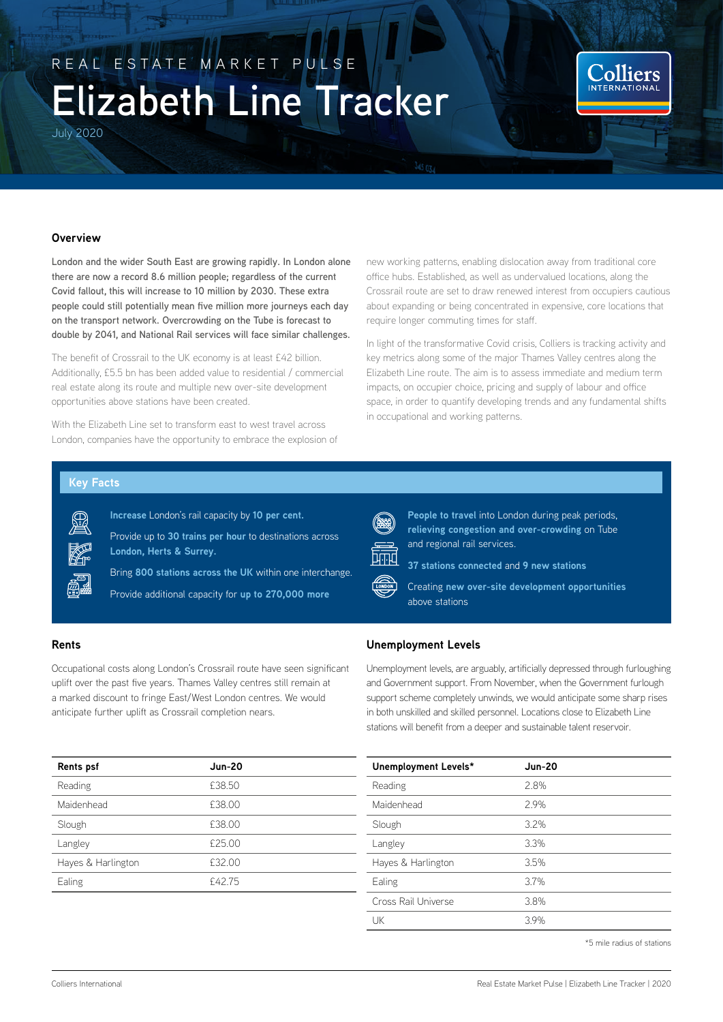# REAL ESTATE MARKET PULSE **Elizabeth Line Tracker**

July 2020



**London and the wider South East are growing rapidly. In London alone there are now a record 8.6 million people; regardless of the current Covid fallout, this will increase to 10 million by 2030. These extra people could still potentially mean five million more journeys each day on the transport network. Overcrowding on the Tube is forecast to double by 2041, and National Rail services will face similar challenges.** 

The benefit of Crossrail to the UK economy is at least £42 billion. Additionally, £5.5 bn has been added value to residential / commercial real estate along its route and multiple new over-site development opportunities above stations have been created.

With the Elizabeth Line set to transform east to west travel across London, companies have the opportunity to embrace the explosion of new working patterns, enabling dislocation away from traditional core office hubs. Established, as well as undervalued locations, along the Crossrail route are set to draw renewed interest from occupiers cautious about expanding or being concentrated in expensive, core locations that require longer commuting times for staff.

Colliers **INTERNATIONA** 

In light of the transformative Covid crisis, Colliers is tracking activity and key metrics along some of the major Thames Valley centres along the Elizabeth Line route. The aim is to assess immediate and medium term impacts, on occupier choice, pricing and supply of labour and office space, in order to quantify developing trends and any fundamental shifts in occupational and working patterns.

#### **Key Facts**

**Increase** London's rail capacity by **10 per cent.**

Provide up to **30 trains per hour** to destinations across **London, Herts & Surrey.**

Bring **800 stations across the UK** within one interchange.

Provide additional capacity for **up to 270,000 more** 

# **Rents**

Occupational costs along London's Crossrail route have seen significant uplift over the past five years. Thames Valley centres still remain at a marked discount to fringe East/West London centres. We would anticipate further uplift as Crossrail completion nears.

| <b>Rents psf</b>   | <b>Jun-20</b> |
|--------------------|---------------|
| Reading            | £38.50        |
| Maidenhead         | £38.00        |
| Slough             | £38.00        |
| Langley            | £25.00        |
| Hayes & Harlington | £32.00        |
| Ealing             | £42.75        |

**People to travel** into London during peak periods, **relieving congestion and over-crowding** on Tube and regional rail services.

**37 stations connected** and **9 new stations** 



Creating **new over-site development opportunities** above stations

# **Unemployment Levels**

Unemployment levels, are arguably, artificially depressed through furloughing and Government support. From November, when the Government furlough support scheme completely unwinds, we would anticipate some sharp rises in both unskilled and skilled personnel. Locations close to Elizabeth Line stations will benefit from a deeper and sustainable talent reservoir.

| Unemployment Levels* | <b>Jun-20</b> |
|----------------------|---------------|
| Reading              | 2.8%          |
| Maidenhead           | 2.9%          |
| Slough               | 3.2%          |
| Langley              | 3.3%          |
| Hayes & Harlington   | 3.5%          |
| Ealing               | 3.7%          |
| Cross Rail Universe  | 3.8%          |
| UK                   | 3.9%          |

\*5 mile radius of stations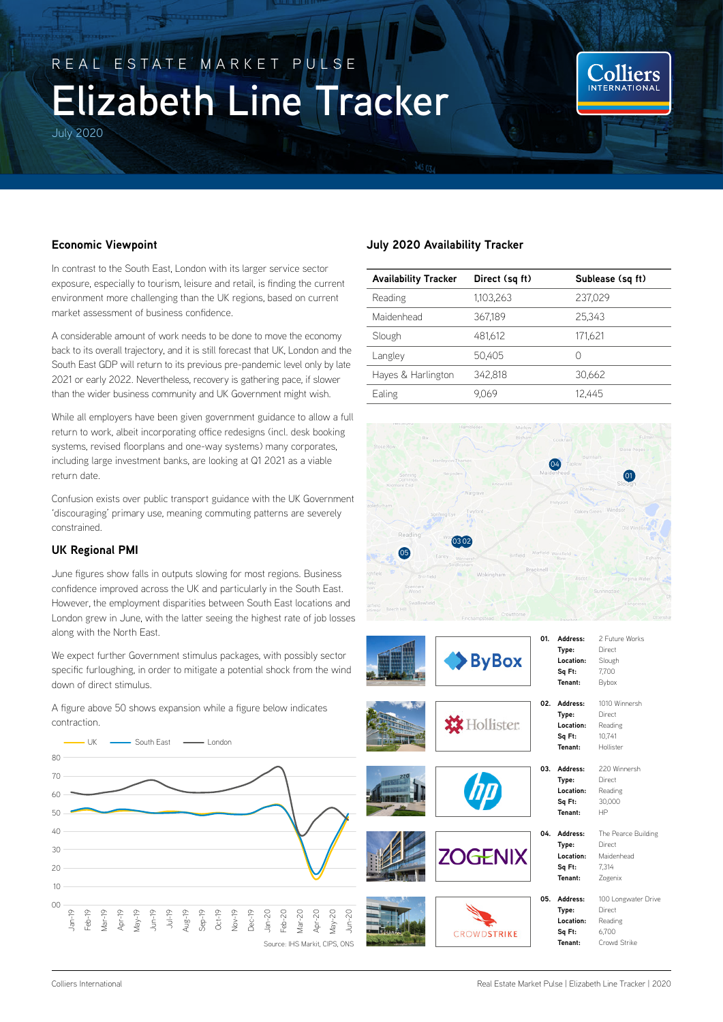# REAL ESTATE MARKET PULSE **Elizabeth Line Tracker**

July 2020

Colliers **INTERNATIONA** 

# **Economic Viewpoint**

In contrast to the South East, London with its larger service sector exposure, especially to tourism, leisure and retail, is finding the current environment more challenging than the UK regions, based on current market assessment of business confidence.

A considerable amount of work needs to be done to move the economy back to its overall trajectory, and it is still forecast that UK, London and the South East GDP will return to its previous pre-pandemic level only by late 2021 or early 2022. Nevertheless, recovery is gathering pace, if slower than the wider business community and UK Government might wish.

While all employers have been given government guidance to allow a full return to work, albeit incorporating office redesigns (incl. desk booking systems, revised floorplans and one-way systems) many corporates, including large investment banks, are looking at Q1 2021 as a viable return date.

Confusion exists over public transport guidance with the UK Government 'discouraging' primary use, meaning commuting patterns are severely constrained.

# **UK Regional PMI**

June figures show falls in outputs slowing for most regions. Business confidence improved across the UK and particularly in the South East. However, the employment disparities between South East locations and London grew in June, with the latter seeing the highest rate of job losses along with the North East.

We expect further Government stimulus packages, with possibly sector specific furloughing, in order to mitigate a potential shock from the wind down of direct stimulus.

A figure above 50 shows expansion while a figure below indicates contraction.



# **July 2020 Availability Tracker**

| <b>Availability Tracker</b> | Direct (sq ft) | Sublease (sq ft) |
|-----------------------------|----------------|------------------|
| Reading                     | 1.103.263      | 237.029          |
| Maidenhead                  | 367.189        | 25.343           |
| Slough                      | 481.612        | 171.621          |
| Langley                     | 50.405         | Ω                |
| Hayes & Harlington          | 342.818        | 30.662           |
| Ealing                      | 9.069          | 12.445           |



| $\blacktriangleright$ ByBox |     |
|-----------------------------|-----|
| <b>XX</b> Hollister         | 02. |
| <b>dp</b>                   | 03. |





| Address:     | 2 Future Works            |
|--------------|---------------------------|
| Type:        | Direct                    |
| Location:    | Slough                    |
| Sq Ft:       | 7,700                     |
| Tenant:      | Bybox                     |
| 02. Address: | 1010 Winnersh             |
| Type:        | Direct                    |
| Location:    | Reading                   |
| Sq Ft:       | 10.741                    |
| Tenant:      | Hollister                 |
| Address:     | 220 Winnersh              |
| Type:        | Direct                    |
| Location:    | Reading                   |
|              | 30,000                    |
| Tenant:      | HP                        |
| Address:     | The Pearce Building       |
| Type:        | Direct                    |
| Location:    | Maidenhead                |
|              | 7.314                     |
| Tenant:      | Zogenix                   |
| Address:     | 100 Longwater Drive       |
|              | Direct                    |
| Location:    | Reading                   |
|              | Sq Ft:<br>Sq Ft:<br>Type: |

**Sq Ft:** 6,700 **Tenant:** Crowd Strike